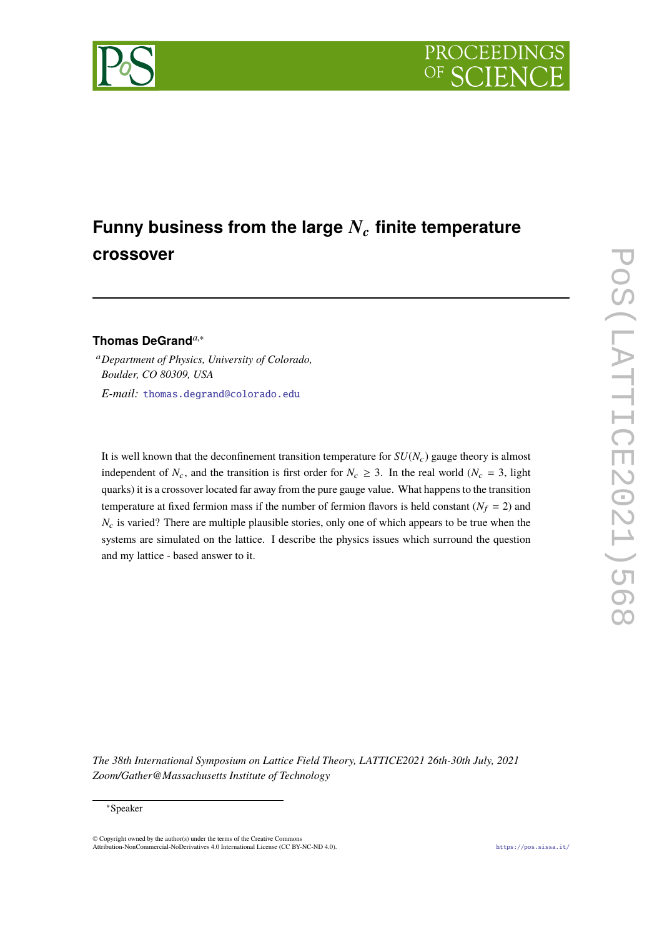

# Funny business from the large  $N_c$  finite temperature **crossover**

# **Thomas DeGrand***a*,<sup>∗</sup>

<sup>a</sup>*Department of Physics, University of Colorado, Boulder, CO 80309, USA E-mail:* [thomas.degrand@colorado.edu](mailto:thomas.degrand@colorado.edu)

It is well known that the deconfinement transition temperature for  $SU(N_c)$  gauge theory is almost independent of  $N_c$ , and the transition is first order for  $N_c \geq 3$ . In the real world ( $N_c = 3$ , light quarks) it is a crossover located far away from the pure gauge value. What happens to the transition temperature at fixed fermion mass if the number of fermion flavors is held constant ( $N_f = 2$ ) and *N<sub>c</sub>* is varied? There are multiple plausible stories, only one of which appears to be true when the systems are simulated on the lattice. I describe the physics issues which surround the question and my lattice - based answer to it.

*The 38th International Symposium on Lattice Field Theory, LATTICE2021 26th-30th July, 2021 Zoom/Gather@Massachusetts Institute of Technology*

### ∗Speaker

© Copyright owned by the author(s) under the terms of the Creative Commons Attribution-NonCommercial-NoDerivatives 4.0 International License (CC BY-NC-ND 4.0). <https://pos.sissa.it/>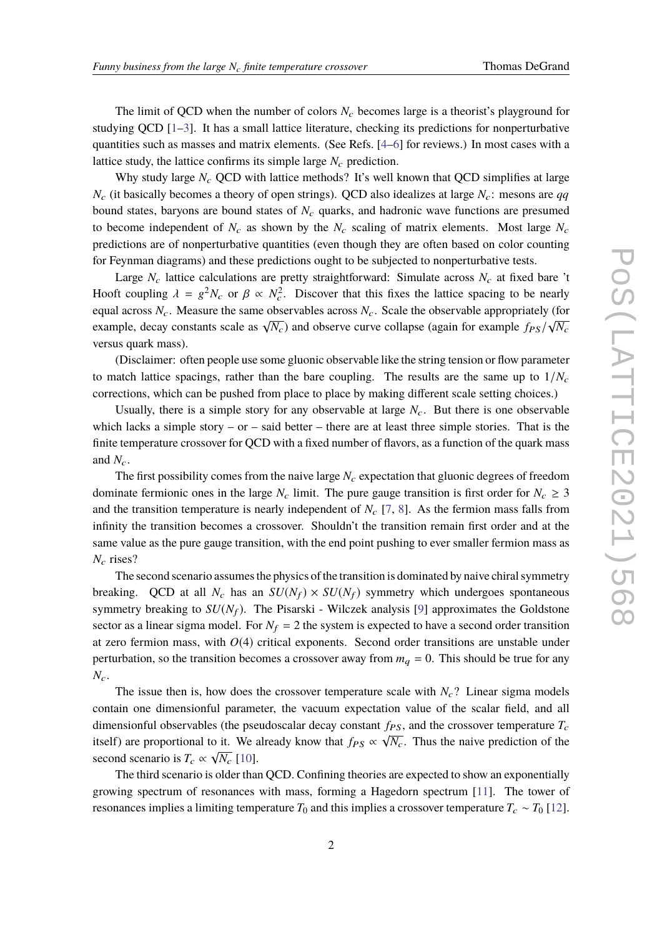The limit of QCD when the number of colors  $N_c$  becomes large is a theorist's playground for studying QCD  $[1-3]$ . It has a small lattice literature, checking its predictions for nonperturbative quantities such as masses and matrix elements. (See Refs. [\[4](#page-5-2)[–6\]](#page-5-3) for reviews.) In most cases with a lattice study, the lattice confirms its simple large  $N_c$  prediction.

Why study large  $N_c$  QCD with lattice methods? It's well known that QCD simplifies at large  $N_c$  (it basically becomes a theory of open strings). QCD also idealizes at large  $N_c$ : mesons are *qq* bound states, baryons are bound states of  $N_c$  quarks, and hadronic wave functions are presumed to become independent of  $N_c$  as shown by the  $N_c$  scaling of matrix elements. Most large  $N_c$ predictions are of nonperturbative quantities (even though they are often based on color counting for Feynman diagrams) and these predictions ought to be subjected to nonperturbative tests.

Large  $N_c$  lattice calculations are pretty straightforward: Simulate across  $N_c$  at fixed bare 't Hooft coupling  $\lambda = g^2 N_c$  or  $\beta \propto N_c^2$ . Discover that this fixes the lattice spacing to be nearly equal across  $N_c$ . Measure the same observables across  $N_c$ . Scale the observable appropriately (for example, decay constants scale as  $\sqrt{N_c}$ ) and observe curve collapse (again for example  $f_{PS}/\sqrt{N_c}$ versus quark mass).

(Disclaimer: often people use some gluonic observable like the string tension or flow parameter to match lattice spacings, rather than the bare coupling. The results are the same up to  $1/N_c$ corrections, which can be pushed from place to place by making different scale setting choices.)

Usually, there is a simple story for any observable at large  $N_c$ . But there is one observable which lacks a simple story – or – said better – there are at least three simple stories. That is the finite temperature crossover for QCD with a fixed number of flavors, as a function of the quark mass and  $N_c$ .

The first possibility comes from the naive large  $N_c$  expectation that gluonic degrees of freedom dominate fermionic ones in the large  $N_c$  limit. The pure gauge transition is first order for  $N_c \geq 3$ and the transition temperature is nearly independent of  $N_c$  [\[7](#page-5-4), [8](#page-5-5)]. As the fermion mass falls from infinity the transition becomes a crossover. Shouldn't the transition remain first order and at the same value as the pure gauge transition, with the end point pushing to ever smaller fermion mass as *N*<sup>c</sup> rises?

The second scenario assumes the physics of the transition is dominated by naive chiral symmetry breaking. QCD at all  $N_c$  has an  $SU(N_f) \times SU(N_f)$  symmetry which undergoes spontaneous symmetry breaking to  $SU(N_f)$ . The Pisarski - Wilczek analysis [\[9](#page-5-6)] approximates the Goldstone sector as a linear sigma model. For  $N_f = 2$  the system is expected to have a second order transition at zero fermion mass, with  $O(4)$  critical exponents. Second order transitions are unstable under perturbation, so the transition becomes a crossover away from  $m_q = 0$ . This should be true for any  $N_c$ .

The issue then is, how does the crossover temperature scale with  $N_c$ ? Linear sigma models contain one dimensionful parameter, the vacuum expectation value of the scalar field, and all dimensionful observables (the pseudoscalar decay constant  $f_{PS}$ , and the crossover temperature  $T_c$ itself) are proportional to it. We already know that  $f_{PS} \propto \sqrt{N_c}$ . Thus the naive prediction of the second scenario is  $T_c \propto \sqrt{N_c}$  [\[10](#page-5-7)].

The third scenario is older than QCD. Confining theories are expected to show an exponentially growing spectrum of resonances with mass, forming a Hagedorn spectrum [\[11](#page-5-8)]. The tower of resonances implies a limiting temperature  $T_0$  and this implies a crossover temperature  $T_c \sim T_0$  [\[12\]](#page-5-9).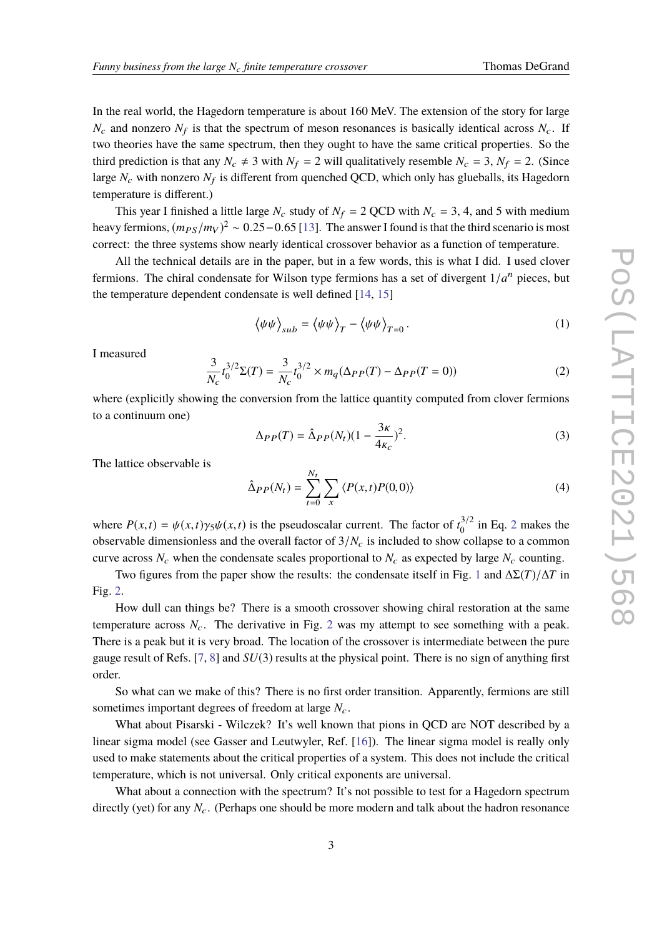In the real world, the Hagedorn temperature is about 160 MeV. The extension of the story for large  $N_c$  and nonzero  $N_f$  is that the spectrum of meson resonances is basically identical across  $N_c$ . If two theories have the same spectrum, then they ought to have the same critical properties. So the third prediction is that any  $N_c \neq 3$  with  $N_f = 2$  will qualitatively resemble  $N_c = 3$ ,  $N_f = 2$ . (Since large  $N_c$  with nonzero  $N_f$  is different from quenched QCD, which only has glueballs, its Hagedorn temperature is different.)

This year I finished a little large  $N_c$  study of  $N_f = 2$  QCD with  $N_c = 3$ , 4, and 5 with medium heavy fermions,  $(m_{PS}/m_V)^2 \sim 0.25-0.65$  [\[13\]](#page-5-10). The answer I found is that the third scenario is most correct: the three systems show nearly identical crossover behavior as a function of temperature.

All the technical details are in the paper, but in a few words, this is what I did. I used clover fermions. The chiral condensate for Wilson type fermions has a set of divergent  $1/a^n$  pieces, but the temperature dependent condensate is well defined [\[14,](#page-5-11) [15\]](#page-5-12)

$$
\langle \psi \psi \rangle_{sub} = \langle \psi \psi \rangle_T - \langle \psi \psi \rangle_{T=0}.
$$
 (1)

I measured

<span id="page-2-0"></span>
$$
\frac{3}{N_c}t_0^{3/2}\Sigma(T) = \frac{3}{N_c}t_0^{3/2} \times m_q(\Delta_{PP}(T) - \Delta_{PP}(T=0))
$$
\n(2)

where (explicitly showing the conversion from the lattice quantity computed from clover fermions to a continuum one)

$$
\Delta_{PP}(T) = \hat{\Delta}_{PP}(N_t)(1 - \frac{3\kappa}{4\kappa_c})^2. \tag{3}
$$

The lattice observable is

$$
\hat{\Delta}_{PP}(N_t) = \sum_{t=0}^{N_t} \sum_{x} \langle P(x,t)P(0,0) \rangle \tag{4}
$$

where  $P(x,t) = \psi(x,t)\gamma_5\psi(x,t)$  is the pseudoscalar current. The factor of  $t_0^{3/2}$  $t_0^{3/2}$  $t_0^{3/2}$  in Eq. 2 makes the observable dimensionless and the overall factor of  $3/N_c$  is included to show collapse to a common curve across  $N_c$  when the condensate scales proportional to  $N_c$  as expected by large  $N_c$  counting.

Two figures from the paper show the results: the condensate itself in Fig. [1](#page-3-0) and ∆Σ(*T*)/∆*<sup>T</sup>* in Fig. [2.](#page-4-0)

How dull can things be? There is a smooth crossover showing chiral restoration at the same temperature across  $N_c$ . The derivative in Fig. [2](#page-4-0) was my attempt to see something with a peak. There is a peak but it is very broad. The location of the crossover is intermediate between the pure gauge result of Refs. [\[7](#page-5-4), [8\]](#page-5-5) and *SU*(3) results at the physical point. There is no sign of anything first order.

So what can we make of this? There is no first order transition. Apparently, fermions are still sometimes important degrees of freedom at large  $N_c$ .

What about Pisarski - Wilczek? It's well known that pions in QCD are NOT described by a linear sigma model (see Gasser and Leutwyler, Ref. [\[16](#page-5-13)]). The linear sigma model is really only used to make statements about the critical properties of a system. This does not include the critical temperature, which is not universal. Only critical exponents are universal.

What about a connection with the spectrum? It's not possible to test for a Hagedorn spectrum directly (yet) for any  $N_c$ . (Perhaps one should be more modern and talk about the hadron resonance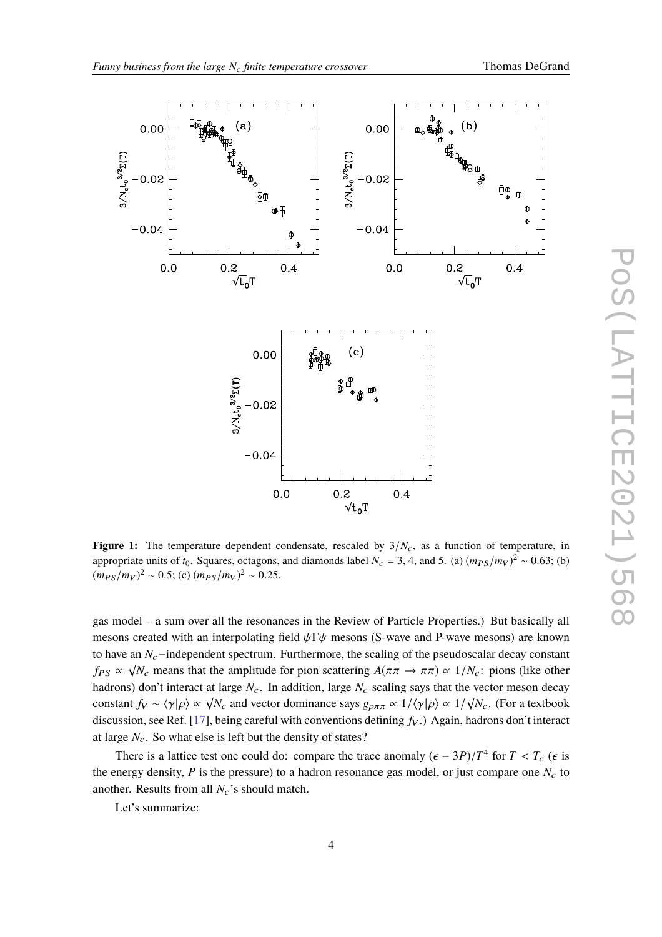<span id="page-3-0"></span>

**Figure 1:** The temperature dependent condensate, rescaled by  $3/N_c$ , as a function of temperature, in appropriate units of *t*<sub>0</sub>. Squares, octagons, and diamonds label  $N_c = 3$ , 4, and 5. (a)  $(m_{PS}/m_V)^2 \sim 0.63$ ; (b)  $(m_{PS}/m_V)^2 \sim 0.5$ ; (c)  $(m_{PS}/m_V)^2 \sim 0.25$ .

gas model – a sum over all the resonances in the Review of Particle Properties.) But basically all mesons created with an interpolating field  $\psi \Gamma \psi$  mesons (S-wave and P-wave mesons) are known to have an *N<sub>c</sub>*−independent spectrum. Furthermore, the scaling of the pseudoscalar decay constant *f*<sub>PS</sub>  $\propto \sqrt{N_c}$  means that the amplitude for pion scattering  $A(\pi \pi \to \pi \pi) \propto 1/N_c$ : pions (like other hadrons) don't interact at large  $N_c$ . In addition, large  $N_c$  scaling says that the vector meson decay constant  $f_V \sim \langle \gamma | \rho \rangle \propto \sqrt{N_c}$  and vector dominance says  $g_{\rho \pi \pi} \propto 1/\langle \gamma | \rho \rangle \propto 1/\sqrt{N_c}$ . (For a textbook discussion, see Ref. [\[17\]](#page-5-14), being careful with conventions defining  $f_V$ .) Again, hadrons don't interact at large  $N_c$ . So what else is left but the density of states?

There is a lattice test one could do: compare the trace anomaly  $(\epsilon - 3P)/T^4$  for  $T < T_c$  ( $\epsilon$  is the energy density,  $P$  is the pressure) to a hadron resonance gas model, or just compare one  $N_c$  to another. Results from all  $N_c$ 's should match.

Let's summarize: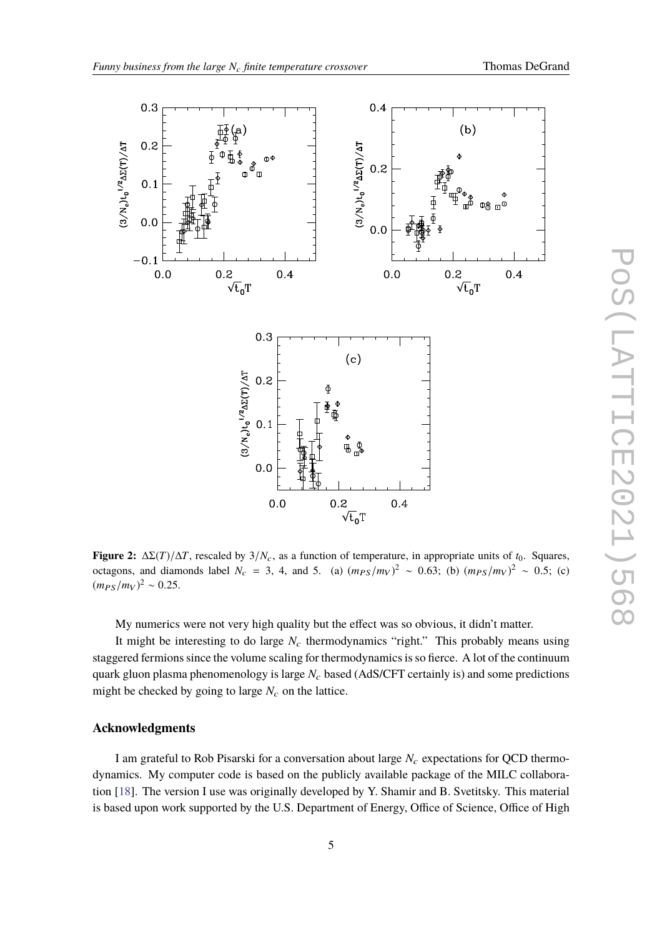<span id="page-4-0"></span>

**Figure 2:**  $\Delta \Sigma(T)/\Delta T$ , rescaled by 3/*N<sub>c</sub>*, as a function of temperature, in appropriate units of *t*<sub>0</sub>. Squares, octagons, and diamonds label  $N_c = 3$ , 4, and 5. (a)  $(m_{PS}/m_V)^2 \sim 0.63$ ; (b)  $(m_{PS}/m_V)^2 \sim 0.5$ ; (c)  $(m_{PS}/m_V)^2 \sim 0.25$ .

My numerics were not very high quality but the effect was so obvious, it didn't matter.

It might be interesting to do large  $N_c$  thermodynamics "right." This probably means using staggered fermions since the volume scaling for thermodynamics is so fierce. A lot of the continuum quark gluon plasma phenomenology is large *N<sub>c</sub>* based (AdS/CFT certainly is) and some predictions might be checked by going to large  $N_c$  on the lattice.

# **Acknowledgments**

I am grateful to Rob Pisarski for a conversation about large  $N_c$  expectations for QCD thermodynamics. My computer code is based on the publicly available package of the MILC collaboration [\[18\]](#page-5-15). The version I use was originally developed by Y. Shamir and B. Svetitsky. This material is based upon work supported by the U.S. Department of Energy, Office of Science, Office of High